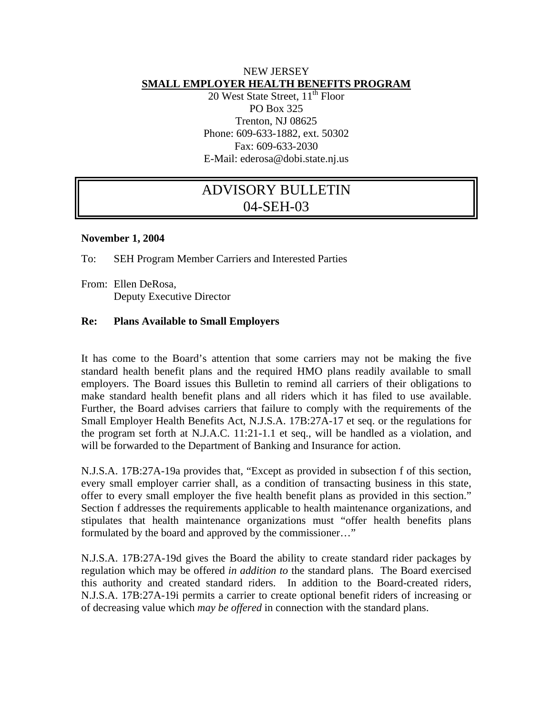## NEW JERSEY **SMALL EMPLOYER HEALTH BENEFITS PROGRAM**

20 West State Street, 11<sup>th</sup> Floor PO Box 325 Trenton, NJ 08625 Phone: 609-633-1882, ext. 50302 Fax: 609-633-2030 E-Mail: ederosa@dobi.state.nj.us

## ADVISORY BULLETIN 04-SEH-03

## **November 1, 2004**

To: SEH Program Member Carriers and Interested Parties

From: Ellen DeRosa, Deputy Executive Director

## **Re: Plans Available to Small Employers**

It has come to the Board's attention that some carriers may not be making the five standard health benefit plans and the required HMO plans readily available to small employers. The Board issues this Bulletin to remind all carriers of their obligations to make standard health benefit plans and all riders which it has filed to use available. Further, the Board advises carriers that failure to comply with the requirements of the Small Employer Health Benefits Act, N.J.S.A. 17B:27A-17 et seq. or the regulations for the program set forth at N.J.A.C. 11:21-1.1 et seq., will be handled as a violation, and will be forwarded to the Department of Banking and Insurance for action.

N.J.S.A. 17B:27A-19a provides that, "Except as provided in subsection f of this section, every small employer carrier shall, as a condition of transacting business in this state, offer to every small employer the five health benefit plans as provided in this section." Section f addresses the requirements applicable to health maintenance organizations, and stipulates that health maintenance organizations must "offer health benefits plans formulated by the board and approved by the commissioner…"

N.J.S.A. 17B:27A-19d gives the Board the ability to create standard rider packages by regulation which may be offered *in addition to* the standard plans. The Board exercised this authority and created standard riders. In addition to the Board-created riders, N.J.S.A. 17B:27A-19i permits a carrier to create optional benefit riders of increasing or of decreasing value which *may be offered* in connection with the standard plans.